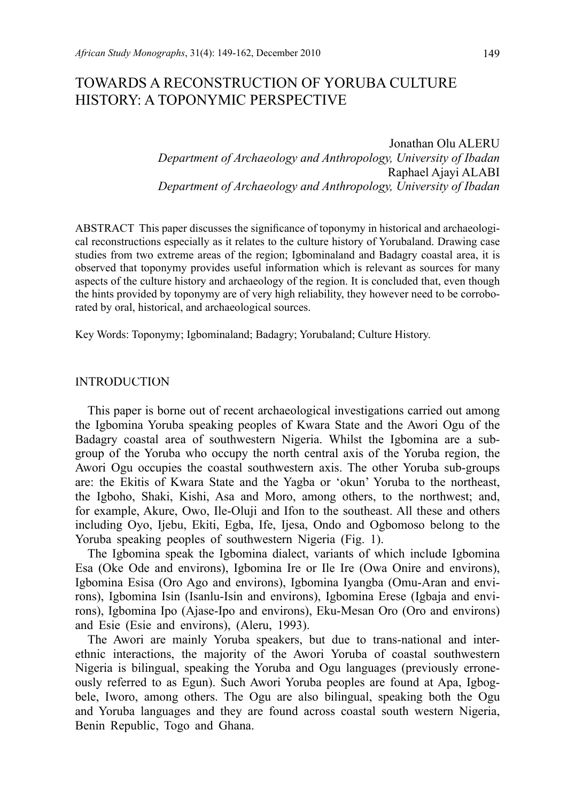# TOWARDS A RECONSTRUCTION OF YORUBA CULTURE HISTORY: A TOPONYMIC PERSPECTIVE

Jonathan Olu ALERU *Department of Archaeology and Anthropology, University of Ibadan* Raphael Ajayi ALABI *Department of Archaeology and Anthropology, University of Ibadan*

ABSTRACT This paper discusses the significance of toponymy in historical and archaeological reconstructions especially as it relates to the culture history of Yorubaland. Drawing case studies from two extreme areas of the region; Igbominaland and Badagry coastal area, it is observed that toponymy provides useful information which is relevant as sources for many aspects of the culture history and archaeology of the region. It is concluded that, even though the hints provided by toponymy are of very high reliability, they however need to be corroborated by oral, historical, and archaeological sources.

Key Words: Toponymy; Igbominaland; Badagry; Yorubaland; Culture History.

### **INTRODUCTION**

This paper is borne out of recent archaeological investigations carried out among the Igbomina Yoruba speaking peoples of Kwara State and the Awori Ogu of the Badagry coastal area of southwestern Nigeria. Whilst the Igbomina are a subgroup of the Yoruba who occupy the north central axis of the Yoruba region, the Awori Ogu occupies the coastal southwestern axis. The other Yoruba sub-groups are: the Ekitis of Kwara State and the Yagba or 'okun' Yoruba to the northeast, the Igboho, Shaki, Kishi, Asa and Moro, among others, to the northwest; and, for example, Akure, Owo, Ile-Oluji and Ifon to the southeast. All these and others including Oyo, Ijebu, Ekiti, Egba, Ife, Ijesa, Ondo and Ogbomoso belong to the Yoruba speaking peoples of southwestern Nigeria (Fig. 1).

The Igbomina speak the Igbomina dialect, variants of which include Igbomina Esa (Oke Ode and environs), Igbomina Ire or Ile Ire (Owa Onire and environs), Igbomina Esisa (Oro Ago and environs), Igbomina Iyangba (Omu-Aran and environs), Igbomina Isin (Isanlu-Isin and environs), Igbomina Erese (Igbaja and environs), Igbomina Ipo (Ajase-Ipo and environs), Eku-Mesan Oro (Oro and environs) and Esie (Esie and environs), (Aleru, 1993).

The Awori are mainly Yoruba speakers, but due to trans-national and interethnic interactions, the majority of the Awori Yoruba of coastal southwestern Nigeria is bilingual, speaking the Yoruba and Ogu languages (previously erroneously referred to as Egun). Such Awori Yoruba peoples are found at Apa, Igbogbele, Iworo, among others. The Ogu are also bilingual, speaking both the Ogu and Yoruba languages and they are found across coastal south western Nigeria, Benin Republic, Togo and Ghana.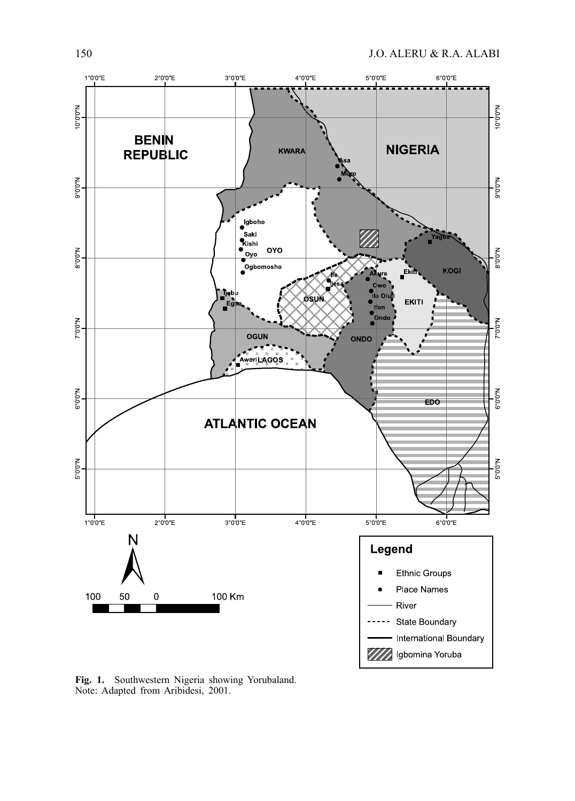

**Fig. 1.** Southwestern Nigeria showing Yorubaland. Note: Adapted from Aribidesi, 2001.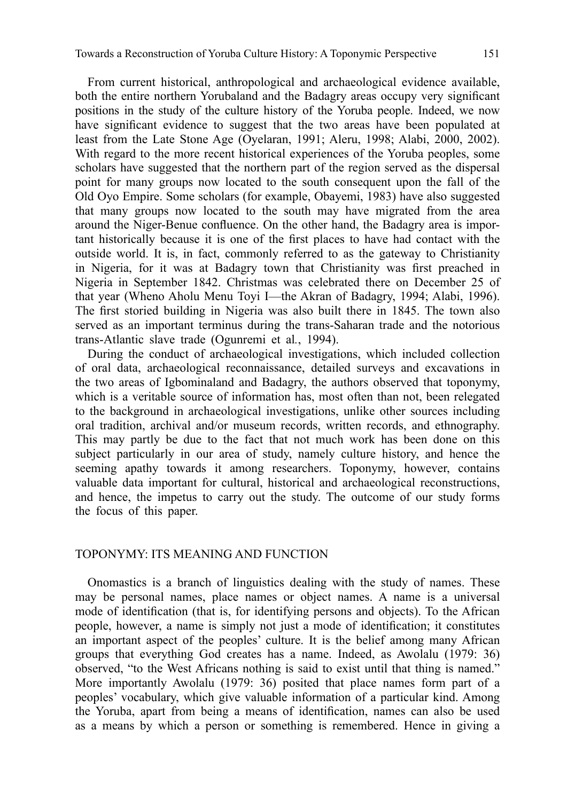From current historical, anthropological and archaeological evidence available, both the entire northern Yorubaland and the Badagry areas occupy very significant positions in the study of the culture history of the Yoruba people. Indeed, we now have significant evidence to suggest that the two areas have been populated at least from the Late Stone Age (Oyelaran, 1991; Aleru, 1998; Alabi, 2000, 2002). With regard to the more recent historical experiences of the Yoruba peoples, some scholars have suggested that the northern part of the region served as the dispersal point for many groups now located to the south consequent upon the fall of the Old Oyo Empire. Some scholars (for example, Obayemi, 1983) have also suggested that many groups now located to the south may have migrated from the area around the Niger-Benue confluence. On the other hand, the Badagry area is important historically because it is one of the first places to have had contact with the outside world. It is, in fact, commonly referred to as the gateway to Christianity in Nigeria, for it was at Badagry town that Christianity was first preached in Nigeria in September 1842. Christmas was celebrated there on December 25 of that year (Wheno Aholu Menu Toyi I—the Akran of Badagry, 1994; Alabi, 1996). The first storied building in Nigeria was also built there in 1845. The town also served as an important terminus during the trans-Saharan trade and the notorious trans-Atlantic slave trade (Ogunremi et al*.*, 1994).

During the conduct of archaeological investigations, which included collection of oral data, archaeological reconnaissance, detailed surveys and excavations in the two areas of Igbominaland and Badagry, the authors observed that toponymy, which is a veritable source of information has, most often than not, been relegated to the background in archaeological investigations, unlike other sources including oral tradition, archival and/or museum records, written records, and ethnography. This may partly be due to the fact that not much work has been done on this subject particularly in our area of study, namely culture history, and hence the seeming apathy towards it among researchers. Toponymy, however, contains valuable data important for cultural, historical and archaeological reconstructions, and hence, the impetus to carry out the study. The outcome of our study forms the focus of this paper.

### TOPONYMY: ITS MEANING AND FUNCTION

Onomastics is a branch of linguistics dealing with the study of names. These may be personal names, place names or object names. A name is a universal mode of identification (that is, for identifying persons and objects). To the African people, however, a name is simply not just a mode of identification; it constitutes an important aspect of the peoples' culture. It is the belief among many African groups that everything God creates has a name. Indeed, as Awolalu (1979: 36) observed, "to the West Africans nothing is said to exist until that thing is named." More importantly Awolalu (1979: 36) posited that place names form part of a peoples' vocabulary, which give valuable information of a particular kind. Among the Yoruba, apart from being a means of identification, names can also be used as a means by which a person or something is remembered. Hence in giving a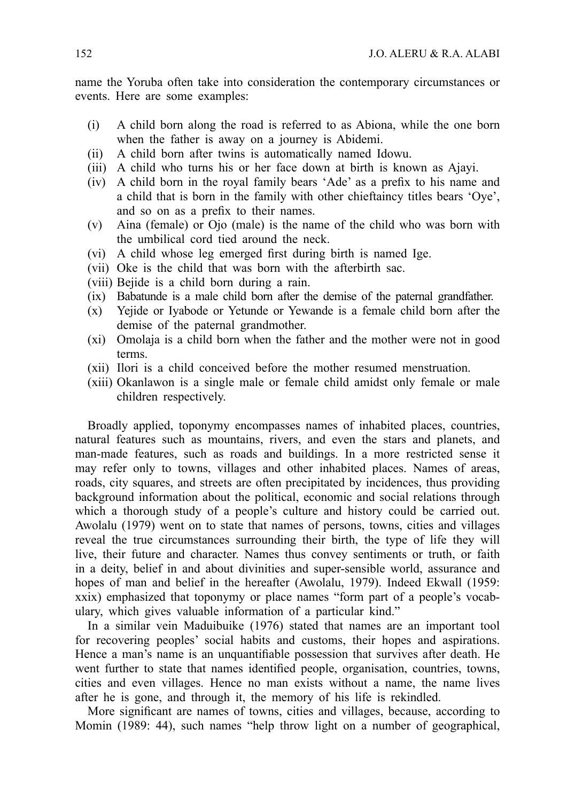name the Yoruba often take into consideration the contemporary circumstances or events. Here are some examples:

- (i) A child born along the road is referred to as Abiona, while the one born when the father is away on a journey is Abidemi.
- (ii) A child born after twins is automatically named Idowu.
- (iii) A child who turns his or her face down at birth is known as Ajayi.
- $(iv)$  A child born in the royal family bears 'Ade' as a prefix to his name and a child that is born in the family with other chieftaincy titles bears 'Oye', and so on as a prefix to their names.
- (v) Aina (female) or Ojo (male) is the name of the child who was born with the umbilical cord tied around the neck.
- (vi) A child whose leg emerged first during birth is named Ige.
- (vii) Oke is the child that was born with the afterbirth sac.
- (viii) Bejide is a child born during a rain.
- (ix) Babatunde is a male child born after the demise of the paternal grandfather.
- (x) Yejide or Iyabode or Yetunde or Yewande is a female child born after the demise of the paternal grandmother.
- (xi) Omolaja is a child born when the father and the mother were not in good terms.
- (xii) Ilori is a child conceived before the mother resumed menstruation.
- (xiii) Okanlawon is a single male or female child amidst only female or male children respectively.

Broadly applied, toponymy encompasses names of inhabited places, countries, natural features such as mountains, rivers, and even the stars and planets, and man-made features, such as roads and buildings. In a more restricted sense it may refer only to towns, villages and other inhabited places. Names of areas, roads, city squares, and streets are often precipitated by incidences, thus providing background information about the political, economic and social relations through which a thorough study of a people's culture and history could be carried out. Awolalu (1979) went on to state that names of persons, towns, cities and villages reveal the true circumstances surrounding their birth, the type of life they will live, their future and character. Names thus convey sentiments or truth, or faith in a deity, belief in and about divinities and super-sensible world, assurance and hopes of man and belief in the hereafter (Awolalu, 1979). Indeed Ekwall (1959: xxix) emphasized that toponymy or place names "form part of a people's vocabulary, which gives valuable information of a particular kind."

In a similar vein Maduibuike (1976) stated that names are an important tool for recovering peoples' social habits and customs, their hopes and aspirations. Hence a man's name is an unquantifiable possession that survives after death. He went further to state that names identified people, organisation, countries, towns, cities and even villages. Hence no man exists without a name, the name lives after he is gone, and through it, the memory of his life is rekindled.

More significant are names of towns, cities and villages, because, according to Momin (1989: 44), such names "help throw light on a number of geographical,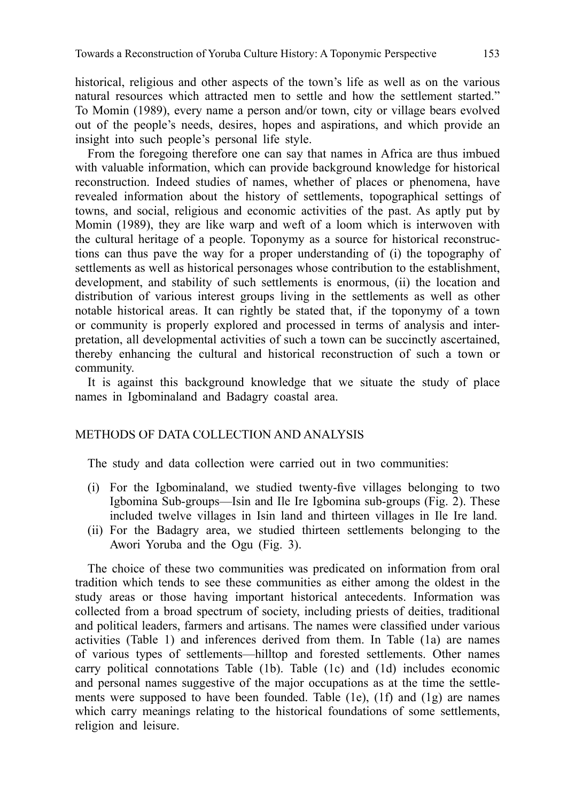historical, religious and other aspects of the town's life as well as on the various natural resources which attracted men to settle and how the settlement started." To Momin (1989), every name a person and/or town, city or village bears evolved out of the people's needs, desires, hopes and aspirations, and which provide an insight into such people's personal life style.

From the foregoing therefore one can say that names in Africa are thus imbued with valuable information, which can provide background knowledge for historical reconstruction. Indeed studies of names, whether of places or phenomena, have revealed information about the history of settlements, topographical settings of towns, and social, religious and economic activities of the past. As aptly put by Momin (1989), they are like warp and weft of a loom which is interwoven with the cultural heritage of a people. Toponymy as a source for historical reconstructions can thus pave the way for a proper understanding of (i) the topography of settlements as well as historical personages whose contribution to the establishment, development, and stability of such settlements is enormous, (ii) the location and distribution of various interest groups living in the settlements as well as other notable historical areas. It can rightly be stated that, if the toponymy of a town or community is properly explored and processed in terms of analysis and interpretation, all developmental activities of such a town can be succinctly ascertained, thereby enhancing the cultural and historical reconstruction of such a town or community.

It is against this background knowledge that we situate the study of place names in Igbominaland and Badagry coastal area.

## METHODS OF DATA COLLECTION AND ANALYSIS

The study and data collection were carried out in two communities:

- (i) For the Igbominaland, we studied twenty-five villages belonging to two Igbomina Sub-groups—Isin and Ile Ire Igbomina sub-groups (Fig. 2). These included twelve villages in Isin land and thirteen villages in Ile Ire land.
- (ii) For the Badagry area, we studied thirteen settlements belonging to the Awori Yoruba and the Ogu (Fig. 3).

The choice of these two communities was predicated on information from oral tradition which tends to see these communities as either among the oldest in the study areas or those having important historical antecedents. Information was collected from a broad spectrum of society, including priests of deities, traditional and political leaders, farmers and artisans. The names were classified under various activities (Table 1) and inferences derived from them. In Table (1a) are names of various types of settlements—hilltop and forested settlements. Other names carry political connotations Table (1b). Table (1c) and (1d) includes economic and personal names suggestive of the major occupations as at the time the settlements were supposed to have been founded. Table (1e), (1f) and (1g) are names which carry meanings relating to the historical foundations of some settlements, religion and leisure.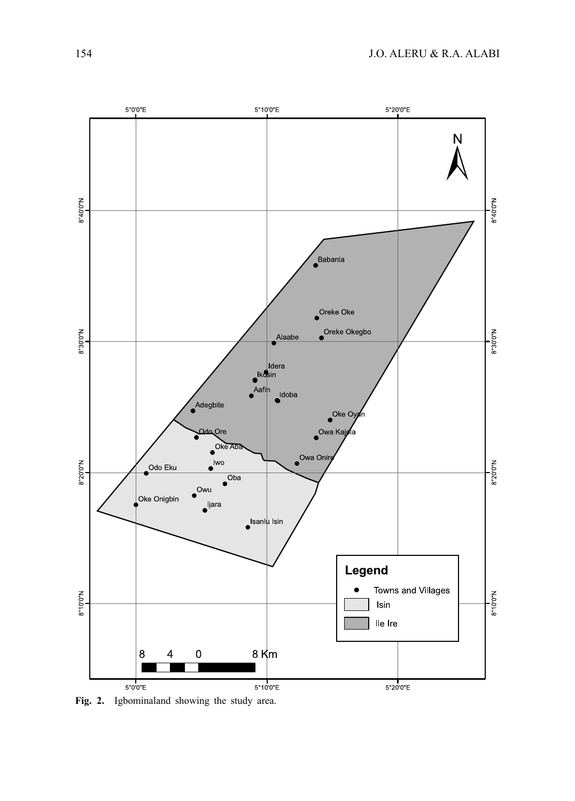

**Fig. 2.** Igbominaland showing the study area.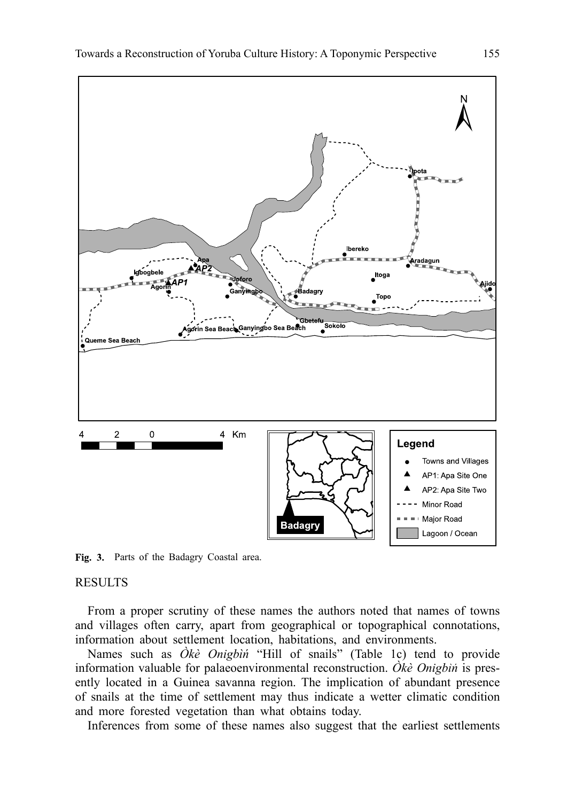

Fig. 3. Parts of the Badagry Coastal area.

#### RESULTS

From a proper scrutiny of these names the authors noted that names of towns and villages often carry, apart from geographical or topographical connotations, information about settlement location, habitations, and environments.

Names such as *Òkè Onigbìń* "Hill of snails" (Table 1c) tend to provide information valuable for palaeoenvironmental reconstruction. *Òkè Onigbìń* is presently located in a Guinea savanna region. The implication of abundant presence of snails at the time of settlement may thus indicate a wetter climatic condition and more forested vegetation than what obtains today.

Inferences from some of these names also suggest that the earliest settlements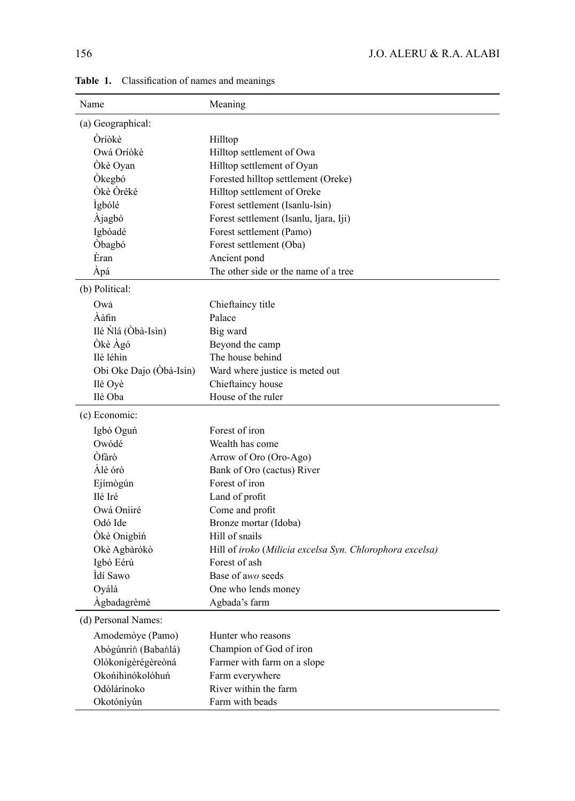| Name                    | Meaning                                                  |
|-------------------------|----------------------------------------------------------|
| (a) Geographical:       |                                                          |
| Òríòkè                  | Hilltop                                                  |
| Owá Oríòkè              | Hilltop settlement of Owa                                |
| Ökè Oyan                | Hilltop settlement of Oyan                               |
| Òkegbó                  | Forested hilltop settlement (Oreke)                      |
| Òkè Òréké               | Hilltop settlement of Oreke                              |
| <i>Igbólé</i>           | Forest settlement (Isanlu-Isin)                          |
| Àjagbó                  | Forest settlement (Isanlu, Ijara, Iji)                   |
| Igbóadé                 | Forest settlement (Pamo)                                 |
| Òbagbó                  | Forest settlement (Oba)                                  |
| Èran                    | Ancient pond                                             |
| Ápá                     | The other side or the name of a tree                     |
| (b) Political:          |                                                          |
| Owá                     | Chieftaincy title                                        |
| Ààfin                   | Palace                                                   |
| Ilé Ńlá (Òbà-Isìn)      | Big ward                                                 |
| Òkè Àgó                 | Beyond the camp                                          |
| Ilé léhìn               | The house behind                                         |
| Obi Oke Dajo (Obà-Isìn) | Ward where justice is meted out                          |
| Ilé Oyè                 | Chieftaincy house                                        |
| Ilé Oba                 | House of the ruler                                       |
| (c) Economic:           |                                                          |
| Igbó Oguń               | Forest of iron                                           |
| Owódé                   | Wealth has come                                          |
| Òfàrò                   | Arrow of Oro (Oro-Ago)                                   |
| Àlè óró                 | Bank of Oro (cactus) River                               |
| Ejímògún                | Forest of iron                                           |
| Ilé Iré                 | Land of profit                                           |
| Owá Onìiré              | Come and profit                                          |
| Odó Ide                 | Bronze mortar (Idoba)                                    |
| Ókè Onigbìn             | Hill of snails                                           |
| Okè Agbàrókò            | Hill of iroko (Milicia excelsa Syn. Chlorophora excelsa) |
| Igbó Eérú               | Forest of ash                                            |
| Ìdí Sawo                | Base of awo seeds                                        |
| Oyálà                   | One who lends money                                      |
| Agbadagrèmè             | Agbada's farm                                            |
| (d) Personal Names:     |                                                          |
| Amodemòye (Pamo)        | Hunter who reasons                                       |
| Abógúnrin (Babanlá)     | Champion of God of iron                                  |
| Olókonígèrégèreòná      | Farmer with farm on a slope                              |
| Okońihìnókolóhuń        | Farm everywhere                                          |
| Odòlárínoko             | River within the farm                                    |
| Okotóníyún              | Farm with beads                                          |

Table 1. Classification of names and meanings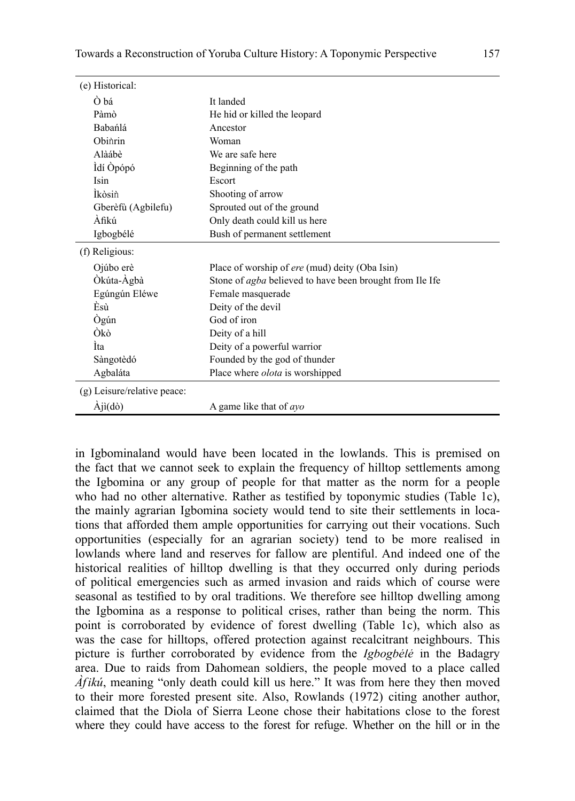| (e) Historical:                |                                                                 |
|--------------------------------|-----------------------------------------------------------------|
| Ò bá                           | It landed                                                       |
| Pàmò                           | He hid or killed the leopard                                    |
| Babańlá                        | Ancestor                                                        |
| Obinrin                        | Woman                                                           |
| Alàábè                         | We are safe here                                                |
| Idí Òpópó                      | Beginning of the path                                           |
| Isin                           | Escort                                                          |
| İkòsin                         | Shooting of arrow                                               |
| Gberèfù (Agbilefu)             | Sprouted out of the ground                                      |
| Àfikú                          | Only death could kill us here                                   |
| Igbogbélé                      | Bush of permanent settlement                                    |
| (f) Religious:                 |                                                                 |
| Ojúbo erè                      | Place of worship of ere (mud) deity (Oba Isin)                  |
| Òkúta-Àgbà                     | Stone of <i>agba</i> believed to have been brought from Ile Ife |
| Egúngún Eléwe                  | Female masquerade                                               |
| Èsù                            | Deity of the devil                                              |
| Ògún                           | God of iron                                                     |
| Òkò                            | Deity of a hill                                                 |
| Ìta                            | Deity of a powerful warrior                                     |
| Sàngotèdó                      | Founded by the god of thunder                                   |
| Agbaláta                       | Place where <i>olota</i> is worshipped                          |
| (g) Leisure/relative peace:    |                                                                 |
| $\dot{A}$ jì $(d\dot{\theta})$ | A game like that of $a$ <i>yo</i>                               |

in Igbominaland would have been located in the lowlands. This is premised on the fact that we cannot seek to explain the frequency of hilltop settlements among the Igbomina or any group of people for that matter as the norm for a people who had no other alternative. Rather as testified by toponymic studies (Table 1c), the mainly agrarian Igbomina society would tend to site their settlements in locations that afforded them ample opportunities for carrying out their vocations. Such opportunities (especially for an agrarian society) tend to be more realised in lowlands where land and reserves for fallow are plentiful. And indeed one of the historical realities of hilltop dwelling is that they occurred only during periods of political emergencies such as armed invasion and raids which of course were seasonal as testified to by oral traditions. We therefore see hilltop dwelling among the Igbomina as a response to political crises, rather than being the norm. This point is corroborated by evidence of forest dwelling (Table 1c), which also as was the case for hilltops, offered protection against recalcitrant neighbours. This picture is further corroborated by evidence from the *Igbogbélé* in the Badagry area. Due to raids from Dahomean soldiers, the people moved to a place called *Àf ikú*, meaning "only death could kill us here." It was from here they then moved to their more forested present site. Also, Rowlands (1972) citing another author, claimed that the Diola of Sierra Leone chose their habitations close to the forest where they could have access to the forest for refuge. Whether on the hill or in the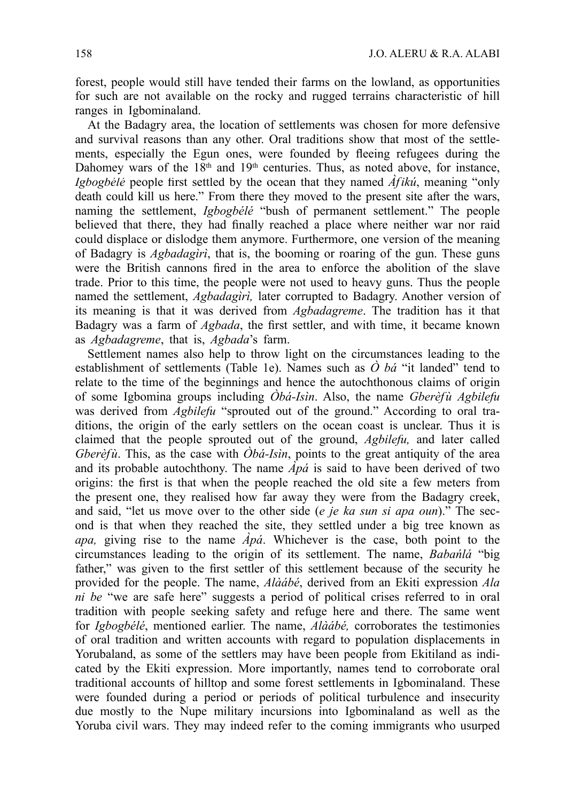forest, people would still have tended their farms on the lowland, as opportunities for such are not available on the rocky and rugged terrains characteristic of hill ranges in Igbominaland.

At the Badagry area, the location of settlements was chosen for more defensive and survival reasons than any other. Oral traditions show that most of the settlements, especially the Egun ones, were founded by fleeing refugees during the Dahomey wars of the  $18<sup>th</sup>$  and  $19<sup>th</sup>$  centuries. Thus, as noted above, for instance, *Igbogbélé* people first settled by the ocean that they named  $\hat{A}$ *f ikú*, meaning "only" death could kill us here." From there they moved to the present site after the wars, naming the settlement, *Igbogbélé* "bush of permanent settlement." The people believed that there, they had finally reached a place where neither war nor raid could displace or dislodge them anymore. Furthermore, one version of the meaning of Badagry is *Agbadagìrì*, that is, the booming or roaring of the gun. These guns were the British cannons fired in the area to enforce the abolition of the slave trade. Prior to this time, the people were not used to heavy guns. Thus the people named the settlement, *Agbadagìrì,* later corrupted to Badagry. Another version of its meaning is that it was derived from *Agbadagreme*. The tradition has it that Badagry was a farm of *Agbada*, the first settler, and with time, it became known as *Agbadagreme*, that is, *Agbada*'s farm.

Settlement names also help to throw light on the circumstances leading to the establishment of settlements (Table 1e). Names such as *Ò bá* "it landed" tend to relate to the time of the beginnings and hence the autochthonous claims of origin of some Igbomina groups including *Òbá-Isìn*. Also, the name *Gberèf ù Agbilefu* was derived from *Agbilefu* "sprouted out of the ground." According to oral traditions, the origin of the early settlers on the ocean coast is unclear. Thus it is claimed that the people sprouted out of the ground, *Agbilefu,* and later called *Gberèfù*. This, as the case with  $\hat{O}b\hat{a}$ -*Isìn*, points to the great antiquity of the area and its probable autochthony. The name  $\hat{Ap}$ *a* is said to have been derived of two origins: the first is that when the people reached the old site a few meters from the present one, they realised how far away they were from the Badagry creek, and said, "let us move over to the other side (*e je ka sun si apa oun*)." The second is that when they reached the site, they settled under a big tree known as *apa,* giving rise to the name *Àpá*. Whichever is the case, both point to the circumstances leading to the origin of its settlement. The name, *Babańlá* "big father," was given to the first settler of this settlement because of the security he provided for the people. The name, *Alàábé*, derived from an Ekiti expression *Ala ni be* "we are safe here" suggests a period of political crises referred to in oral tradition with people seeking safety and refuge here and there. The same went for *Igbogbélé*, mentioned earlier. The name, *Alàábé,* corroborates the testimonies of oral tradition and written accounts with regard to population displacements in Yorubaland, as some of the settlers may have been people from Ekitiland as indicated by the Ekiti expression. More importantly, names tend to corroborate oral traditional accounts of hilltop and some forest settlements in Igbominaland. These were founded during a period or periods of political turbulence and insecurity due mostly to the Nupe military incursions into Igbominaland as well as the Yoruba civil wars. They may indeed refer to the coming immigrants who usurped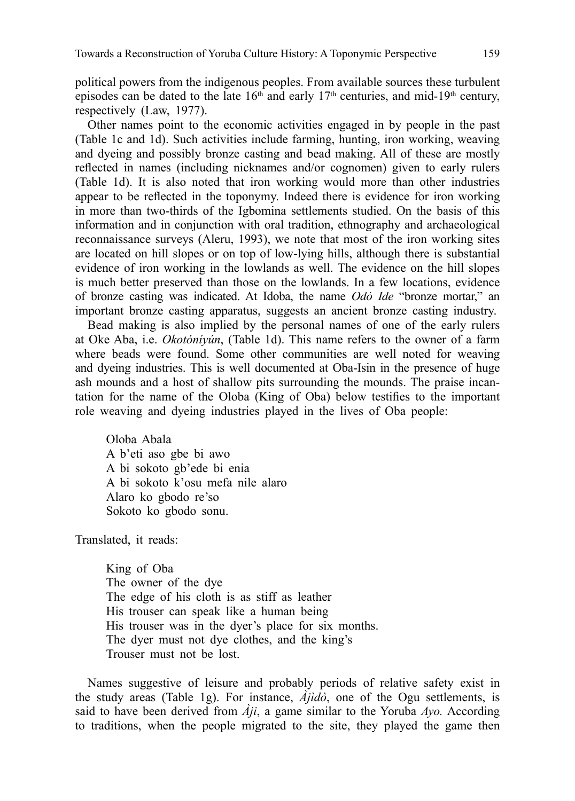political powers from the indigenous peoples. From available sources these turbulent episodes can be dated to the late  $16<sup>th</sup>$  and early  $17<sup>th</sup>$  centuries, and mid-19<sup>th</sup> century, respectively (Law, 1977).

Other names point to the economic activities engaged in by people in the past (Table 1c and 1d). Such activities include farming, hunting, iron working, weaving and dyeing and possibly bronze casting and bead making. All of these are mostly reflected in names (including nicknames and/or cognomen) given to early rulers (Table 1d). It is also noted that iron working would more than other industries appear to be reflected in the toponymy. Indeed there is evidence for iron working in more than two-thirds of the Igbomina settlements studied. On the basis of this information and in conjunction with oral tradition, ethnography and archaeological reconnaissance surveys (Aleru, 1993), we note that most of the iron working sites are located on hill slopes or on top of low-lying hills, although there is substantial evidence of iron working in the lowlands as well. The evidence on the hill slopes is much better preserved than those on the lowlands. In a few locations, evidence of bronze casting was indicated. At Idoba, the name *Odó Ide* "bronze mortar," an important bronze casting apparatus, suggests an ancient bronze casting industry.

Bead making is also implied by the personal names of one of the early rulers at Oke Aba, i.e. *Okotóníyún*, (Table 1d). This name refers to the owner of a farm where beads were found. Some other communities are well noted for weaving and dyeing industries. This is well documented at Oba-Isin in the presence of huge ash mounds and a host of shallow pits surrounding the mounds. The praise incantation for the name of the Oloba (King of Oba) below testifies to the important role weaving and dyeing industries played in the lives of Oba people:

Oloba Abala A b'eti aso gbe bi awo A bi sokoto gb'ede bi enia A bi sokoto k'osu mefa nile alaro Alaro ko gbodo re'so Sokoto ko gbodo sonu.

Translated, it reads:

King of Oba The owner of the dye The edge of his cloth is as stiff as leather His trouser can speak like a human being His trouser was in the dyer's place for six months. The dyer must not dye clothes, and the king's Trouser must not be lost.

Names suggestive of leisure and probably periods of relative safety exist in the study areas (Table 1g). For instance, *Àjìdò*, one of the Ogu settlements, is said to have been derived from *Àji*, a game similar to the Yoruba *Ayo.* According to traditions, when the people migrated to the site, they played the game then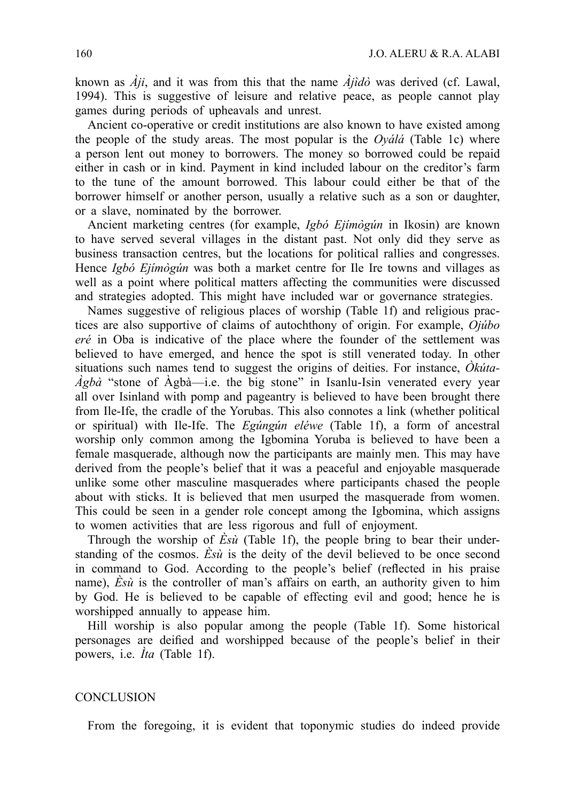known as *Àji*, and it was from this that the name *Àjìdò* was derived (cf. Lawal, 1994). This is suggestive of leisure and relative peace, as people cannot play games during periods of upheavals and unrest.

Ancient co-operative or credit institutions are also known to have existed among the people of the study areas. The most popular is the *Oyálá* (Table 1c) where a person lent out money to borrowers. The money so borrowed could be repaid either in cash or in kind. Payment in kind included labour on the creditor's farm to the tune of the amount borrowed. This labour could either be that of the borrower himself or another person, usually a relative such as a son or daughter, or a slave, nominated by the borrower.

Ancient marketing centres (for example, *Igbó Ejímògún* in Ikosin) are known to have served several villages in the distant past. Not only did they serve as business transaction centres, but the locations for political rallies and congresses. Hence *Igbó Ejímògún* was both a market centre for Ile Ire towns and villages as well as a point where political matters affecting the communities were discussed and strategies adopted. This might have included war or governance strategies.

Names suggestive of religious places of worship (Table 1f) and religious practices are also supportive of claims of autochthony of origin. For example, *Ojúbo eré* in Oba is indicative of the place where the founder of the settlement was believed to have emerged, and hence the spot is still venerated today. In other situations such names tend to suggest the origins of deities. For instance, *Òkúta-Àgbà* "stone of Àgbà—i.e. the big stone" in Isanlu-Isin venerated every year all over Isinland with pomp and pageantry is believed to have been brought there from Ile-Ife, the cradle of the Yorubas. This also connotes a link (whether political or spiritual) with Ile-Ife. The *Egúngún eléwe* (Table 1f), a form of ancestral worship only common among the Igbomina Yoruba is believed to have been a female masquerade, although now the participants are mainly men. This may have derived from the people's belief that it was a peaceful and enjoyable masquerade unlike some other masculine masquerades where participants chased the people about with sticks. It is believed that men usurped the masquerade from women. This could be seen in a gender role concept among the Igbomina, which assigns to women activities that are less rigorous and full of enjoyment.

Through the worship of *Èsù* (Table 1f), the people bring to bear their understanding of the cosmos. *Èsù* is the deity of the devil believed to be once second in command to God. According to the people's belief (reflected in his praise name),  $\vec{E} s \vec{u}$  is the controller of man's affairs on earth, an authority given to him by God. He is believed to be capable of effecting evil and good; hence he is worshipped annually to appease him.

Hill worship is also popular among the people (Table 1f). Some historical personages are deified and worshipped because of the people's belief in their powers, i.e. *Ìta* (Table 1f).

#### **CONCLUSION**

From the foregoing, it is evident that toponymic studies do indeed provide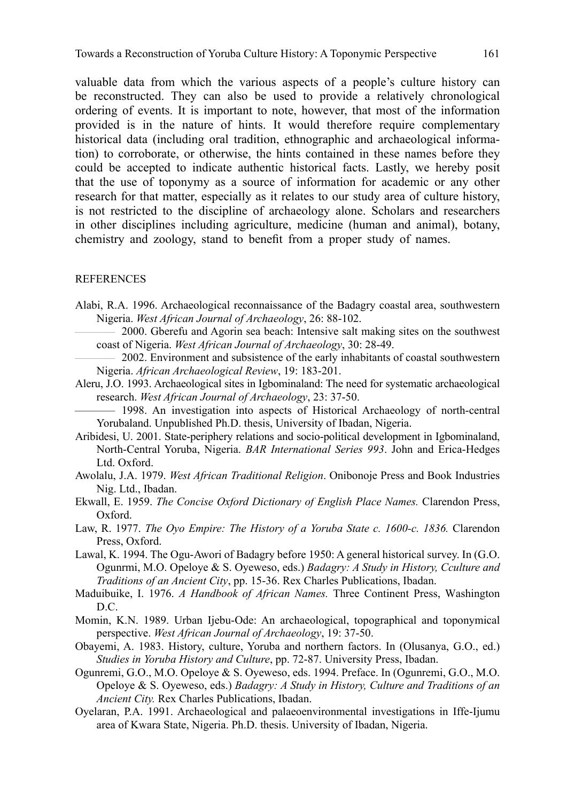valuable data from which the various aspects of a people's culture history can be reconstructed. They can also be used to provide a relatively chronological ordering of events. It is important to note, however, that most of the information provided is in the nature of hints. It would therefore require complementary historical data (including oral tradition, ethnographic and archaeological information) to corroborate, or otherwise, the hints contained in these names before they could be accepted to indicate authentic historical facts. Lastly, we hereby posit that the use of toponymy as a source of information for academic or any other research for that matter, especially as it relates to our study area of culture history, is not restricted to the discipline of archaeology alone. Scholars and researchers in other disciplines including agriculture, medicine (human and animal), botany, chemistry and zoology, stand to benefit from a proper study of names.

#### **REFERENCES**

- Alabi, R.A. 1996. Archaeological reconnaissance of the Badagry coastal area, southwestern Nigeria. *West African Journal of Archaeology*, 26: 88-102.
	- 2000. Gberefu and Agorin sea beach: Intensive salt making sites on the southwest coast of Nigeria. *West African Journal of Archaeology*, 30: 28-49.
- 2002. Environment and subsistence of the early inhabitants of coastal southwestern Nigeria. *African Archaeological Review*, 19: 183-201.
- Aleru, J.O. 1993. Archaeological sites in Igbominaland: The need for systematic archaeological research. *West African Journal of Archaeology*, 23: 37-50.

— 1998. An investigation into aspects of Historical Archaeology of north-central Yorubaland. Unpublished Ph.D. thesis, University of Ibadan, Nigeria.

- Aribidesi, U. 2001. State-periphery relations and socio-political development in Igbominaland, North-Central Yoruba, Nigeria. *BAR International Series 993*. John and Erica-Hedges Ltd. Oxford.
- Awolalu, J.A. 1979. *West African Traditional Religion*. Onibonoje Press and Book Industries Nig. Ltd., Ibadan.
- Ekwall, E. 1959. *The Concise Oxford Dictionary of English Place Names.* Clarendon Press, Oxford.
- Law, R. 1977. *The Oyo Empire: The History of a Yoruba State c. 1600-c. 1836.* Clarendon Press, Oxford.
- Lawal, K. 1994. The Ogu-Awori of Badagry before 1950: A general historical survey. In (G.O. Ogunrmi, M.O. Opeloye & S. Oyeweso, eds.) *Badagry: A Study in History, Cculture and Traditions of an Ancient City*, pp. 15-36. Rex Charles Publications, Ibadan.
- Maduibuike, I. 1976. *A Handbook of African Names.* Three Continent Press, Washington D.C.
- Momin, K.N. 1989. Urban Ijebu-Ode: An archaeological, topographical and toponymical perspective. *West African Journal of Archaeology*, 19: 37-50.
- Obayemi, A. 1983. History, culture, Yoruba and northern factors. In (Olusanya, G.O., ed.) *Studies in Yoruba History and Culture*, pp. 72-87. University Press, Ibadan.
- Ogunremi, G.O., M.O. Opeloye & S. Oyeweso, eds. 1994. Preface. In (Ogunremi, G.O., M.O. Opeloye & S. Oyeweso, eds.) *Badagry: A Study in History, Culture and Traditions of an Ancient City.* Rex Charles Publications, Ibadan.
- Oyelaran, P.A. 1991. Archaeological and palaeoenvironmental investigations in Iffe-Ijumu area of Kwara State, Nigeria. Ph.D. thesis. University of Ibadan, Nigeria.